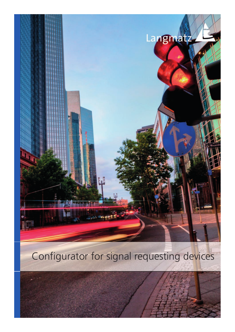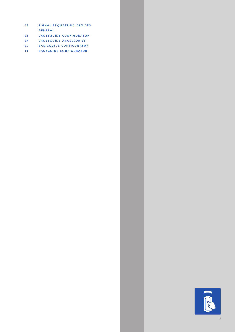- **0 3 SIGNAL REQUESTING DEVICES GENERAL**
- **0 5 CROSSGUIDE CONFIGURATOR**
- **0 7 CROSSGUIDE ACCESSORIES**
- **0 9 BASICGUIDE CONFIGURATOR**
- **1 1 EASYGUIDE CONFIGURATOR**

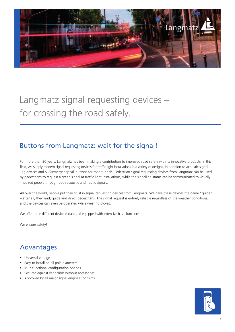

Langmatz signal requesting devices – for crossing the road safely.

## Buttons from Langmatz: wait for the signal!

For more than 30 years, Langmatz has been making a contribution to improved road safety with its innovative products. In this field, we supply modern signal requesting devices for traffic light installations in a variety of designs, in addition to acoustic signalling devices and SOS/emergency call buttons for road tunnels. Pedestrian signal requesting devices from Langmatz can be used by pedestrians to request a green signal at traffic light installations, while the signalling status can be communicated to visually impaired people through both acoustic and haptic signals.

All over the world, people put their trust in signal requesting devices from Langmatz. We gave these devices the name "guide" – after all, they lead, guide and direct pedestrians. The signal request is entirely reliable regardless of the weather conditions, and the devices can even be operated while wearing gloves.

We offer three different device variants, all equipped with extensive basic functions.

We ensure safety!

### Advantages

- Universal voltage
- Easy to install on all pole diameters
- Multifunctional configuration options
- Secured against vandalism without accessories
- Approved by all major signal engineering firms

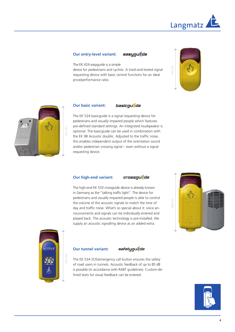

#### **Our entry-level variant:**

easugutde

The EK 424 easyguide is a simple

device for pedestrians and cyclists. A tried-and-tested signal requesting device with basic central functions for an ideal price/performance ratio.





#### **Our basic variant:**  basicquide

The EK 524 basicguide is a signal requesting device for pedestrians and visually impaired people which features pre-defined standard settings. An integrated loudspeaker is optional. The basicguide can be used in combination with the EK 98 Acoustic doublic. Adjusted to the traffic noise, this enables independent output of the orientation sound and/or pedestrian crossing signal – even without a signal requesting device.

#### **Our high-end variant:**



The high-end EK 533 crossguide device is already known in Germany as the "talking traffic light". The device for pedestrians and visually impaired people is able to control the volume of the acoustic signals to match the time of day and traffic noise. What's so special about it: voice announcements and signals can be individually entered and played back. The acoustic technology is pre-installed. We supply an acoustic signalling device as an added extra.





#### **Our tunnel variant:**



The EK 534 SOS/emergency call button ensures the safety of road users in tunnels. Acoustic feedback of up to 85 dB is possible (in accordance with RABT guidelines). Custom-defined texts for visual feedback can be entered.

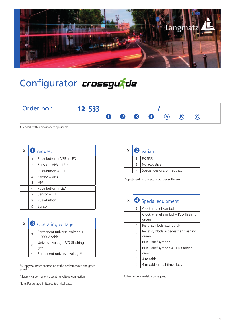

# Configurator *crossgurde*



 $X =$  Mark with a cross where applicable

| X | $\mathbf 1$ | request                     |
|---|-------------|-----------------------------|
|   | 1           | Push-button $+$ VPB $+$ IFD |
|   | 2           | $Sensor + VPR + IFD$        |
|   | 3           | Push-button + VPB           |
|   | 4           | Sensor + VPB                |
|   | 5           | <b>VPR</b>                  |
|   | 6           | Push-button + LED           |
|   | 7           | $Sensor + IFD$              |
|   | 8           | Push-button                 |
|   | 9           | Sensor                      |

| X |   | <b>3</b> Operating voltage                               |
|---|---|----------------------------------------------------------|
|   |   | Permanent universal voltage +<br>1,000 V cable           |
|   | 8 | Universal voltage R/G (flashing<br>$green)$ <sup>1</sup> |
|   |   | Permanent universal voltage <sup>2</sup>                 |

<sup>1</sup> Supply via device connection at the pedestrian red and green  $\vert$  9 | 4 m cable + real-time clock signal

2 Supply via permanent operating voltage connection

Note: For voltage limits, see technical data.

|   | $x \mid$ $\bullet$ Variant |
|---|----------------------------|
|   | <b>LEK 533</b>             |
| 8 | No acoustics               |
| 9 | Special designs on request |

Adjustment of the acoustics per software.

| X |                | 4 Special equipment                    |
|---|----------------|----------------------------------------|
|   | $\overline{2}$ | Clock + relief symbol                  |
|   | 3              | Clock + relief symbol + PED flashing   |
|   |                | green                                  |
|   | 4              | Relief symbols (standard)              |
|   | 5              | Relief symbols $+$ pedestrian flashing |
|   |                | green                                  |
|   | 6              | Blue, relief symbols                   |
|   | 7              | Blue, relief symbols + PED flashing    |
|   |                | green                                  |
|   | 8              | 4 m cable                              |
|   | 9              | 4 m cable + real-time clock            |

Other colours available on request.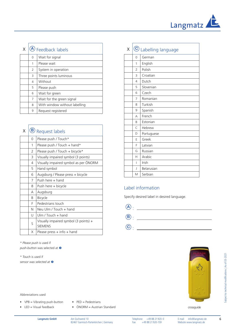

| (A) Feedback labels |                               |  |
|---------------------|-------------------------------|--|
| $\Omega$            | Wait for signal               |  |
| 1                   | Please wait                   |  |
| 2                   | System in operation           |  |
| 3                   | Three points luminous         |  |
| 4                   | Without                       |  |
| 5                   | Please push                   |  |
| 6                   | Wait for green                |  |
| 7                   | Wait for the green signal     |  |
| 8                   | With window without labelling |  |
| 9                   | Request registered            |  |

| x |   | <b>(B)</b> Request labels                                 |
|---|---|-----------------------------------------------------------|
|   | 0 | Please push / Touch*                                      |
|   | 1 | Please push / Touch + hand*                               |
|   | 2 | Please push / Touch + bicycle*                            |
|   | 3 | Visually impaired symbol (3 points)                       |
|   | 4 | Visually impaired symbol as per ÖNORM                     |
|   | 5 | Hand symbol                                               |
|   | 6 | Augsburg / Please press + bicycle                         |
|   | 7 | Push here $+$ hand                                        |
|   | 8 | Push here + bicycle                                       |
|   | А | Augsburg                                                  |
|   | B | <b>Bicycle</b>                                            |
|   | F | Pedestrians touch                                         |
|   | N | Neu Ulm / Touch + hand                                    |
|   | U | Ulm / Touch + hand                                        |
|   | S | Visually impaired symbol $(3$ points) +<br><b>SIEMENS</b> |
|   | X | Please press $+$ info $+$ hand                            |

*\* Please push* is used if *push-button* was selected at

*\* Touch* is used if *sensor was selected at*

#### Abbreviations used

- $\bullet$  VPB = Vibrating push-button
- $\bullet$  LED = Visual feedback
- PED = Pedestrians
- ÖNORM = Austrian Standard

| X |                          | C Labelling language |
|---|--------------------------|----------------------|
|   | 0                        | German               |
|   | 1                        | English              |
|   | $\overline{2}$           | Polish               |
|   | 3                        | Croatian             |
|   | $\overline{4}$           | Dutch                |
|   | 5                        | Slovenian            |
|   | 6                        | Czech                |
|   | 7                        | Romanian             |
|   | 8                        | Turkish              |
|   | 9                        | Spanish              |
|   | А                        | French               |
|   | B                        | Estonian             |
|   | $\mathsf{C}$             | Hebrew               |
|   | D                        | Portuguese           |
|   | E                        | Greek                |
|   | F                        | Latvian              |
|   | G                        | Russian              |
|   | Н                        | Arabic               |
|   | ı                        | Irish                |
|   | $\overline{\phantom{a}}$ | Belarusian           |
|   | M                        | Serbian              |

#### Label information

Specify desired label in desired language.





crossguide

Subject to technical modifications | As of 03-2021

iubject to technical modifications | As of 03-2021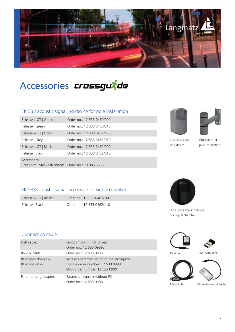

Accessories *crossgurde* 

#### EK 533 acoustic signalling device for pole installation

| Release $+$ OT   Green:                                              | Order no.: 12 533 0460/000 |
|----------------------------------------------------------------------|----------------------------|
| Release   Green:                                                     | Order no.: 12 533 0460/010 |
| Release $+$ OT $\vert$ Grey:                                         | Order no.: 12 533 0461/000 |
| Release   Grey:                                                      | Order no.: 12 533 0461/010 |
| Release + OT   Black:                                                | Order no.: 12 533 0462/000 |
| Release   Black:                                                     | Order no.: 12 533 0462/010 |
| Accessories:<br>Cross arm   Steel/galvanised: Order no.: 70 085 6650 |                            |





Acoustic signalling device

Cross arm for pole installation

#### EK 533 acoustic signalling device for signal chamber

Release + OT | Black: Order no.: 12 533 0462/100 Release | Black: Order no.: 12 533 0462/110



Acoustic signalling device for signal chamber

#### Connection cable

| USB cable:             | Length 1.80 m (incl. driver)               |           |                       |
|------------------------|--------------------------------------------|-----------|-----------------------|
|                        | Order no.: 12 533 09895                    |           |                       |
| RS 232 cable:          | Order no.: 12 533 0996                     | Dongle    | Bluetooth stick       |
| Bluetooth dongle +     | Wireless parametrisation of the crossquide |           |                       |
| Bluetooth stick:       | Dongle order number: 12 533 0998           |           |                       |
|                        | Stick order number: 12 533 0999            |           |                       |
| Parametrising adapter: | Parameter transfer without PC              |           |                       |
|                        | Order no.: 12 533 0988                     |           |                       |
|                        |                                            | USB cable | Parametrising adapter |







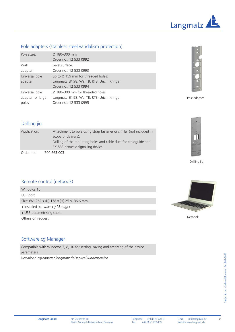

#### Pole adapters (stainless steel vandalism protection)

| Pole sizes:                | $\varnothing$ 180-300 mm<br>Order no.: 12 533 0992                                                                     |
|----------------------------|------------------------------------------------------------------------------------------------------------------------|
| Wall                       | Level surface                                                                                                          |
| adapter:                   | Order no.: 12 533 0993                                                                                                 |
| Universal pole<br>adapter: | up to $\varnothing$ 159 mm for threaded holes:<br>Langmatz EK 98, Wai TB, RTB, Urich, Kringe<br>Order no.: 12 533 0994 |
| Universal pole             | Ø 180-300 mm for threaded holes:                                                                                       |
| adapter for large          | Langmatz EK 98, Wai TB, RTB, Urich, Kringe                                                                             |
| poles                      | Order no.: 12 533 0995                                                                                                 |



Pole adapter

#### Drilling jig

| Application: | Attachment to pole using strap fastener or similar (not included in<br>scope of delivery).<br>Drilling of the mounting holes and cable duct for crossquide and |
|--------------|----------------------------------------------------------------------------------------------------------------------------------------------------------------|
|              | EK 533 acoustic signalling device.                                                                                                                             |
| Order no.:   | 700 663 003                                                                                                                                                    |





#### Remote control (netbook)

Windows 10 USB port Size: (W) 262 x (D) 178 x (H) 25.9–36.6 mm + installed software *cg Manager*

+ USB parametrising cable Others on request



Netbook

#### Software cg Manager

Compatible with Windows 7, 8, 10 for setting, saving and archiving of the device parameters

Download *cgManager langmatz.de/service/kundenservice*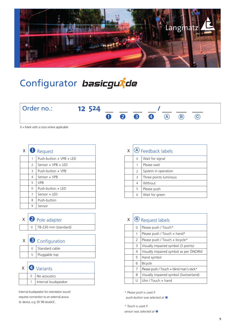

## Configurator basicgurde



 $X =$  Mark with a cross where applicable

| X | $\mathbf U$    | Request                   |
|---|----------------|---------------------------|
|   | 1              | $Push-hutton + VPR + IFD$ |
|   | $\overline{2}$ | Sensor + $VPB$ + LED      |
|   | 3              | Push-button + VPB         |
|   | 4              | Sensor + VPB              |
|   | 5              | <b>VPR</b>                |
|   | 6              | Push-button + LED         |
|   | 7              | Sensor + LED              |
|   | 8              | Push-button               |
|   | 9              | Sensor                    |

|  | $x \mid 2$ Pole adapter  |
|--|--------------------------|
|  | $0$ 78-230 mm (standard) |
|  |                          |
|  | $x \mid$ 3 Configuration |
|  | 0 Standard cable         |

5 Pluggable top

 $x \mid 4$  Variants 0 No acoustics 1 | Internal loudspeaker

Internal loudspeaker for orientation sound requires connection to an external acoustic device, e.g. EK 98 doubLIC.

| X | <b>(A)</b> Feedback labels |                       |  |
|---|----------------------------|-----------------------|--|
|   | $\Omega$                   | Wait for signal       |  |
|   | 1                          | Please wait           |  |
|   | $\overline{2}$             | System in operation   |  |
|   | 3                          | Three points luminous |  |
|   | 4                          | Without               |  |
|   | 5                          | Please push           |  |
|   | 6                          | Wait for green        |  |

| X |    | $\circledbullet$ Request labels          |
|---|----|------------------------------------------|
|   | 0  | Please push / Touch*                     |
|   | 1  | Please push / Touch + hand*              |
|   | 2  | Please push / Touch + bicycle*           |
|   | 3  | Visually impaired symbol (3 points)      |
|   | 4  | Visually impaired symbol as per ÖNORM    |
|   | 5. | Hand symbol                              |
|   | 6  | <b>Bicycle</b>                           |
|   | 7  | Please push / Touch + blind man's stick* |
|   | 8  | Visually impaired symbol (Switzerland)   |
|   | U  | Ulm / Touch $+$ hand                     |

*\* Please push* is used if

*push-button* was selected at

*\* Touch* is used if *sensor was selected at*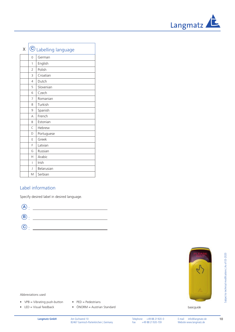

| Χ |                | © Labelling language |
|---|----------------|----------------------|
|   | 0              | German               |
|   | 1              | English              |
|   | $\overline{2}$ | Polish               |
|   | 3              | Croatian             |
|   | 4              | Dutch                |
|   | 5              | Slovenian            |
|   | 6              | Czech                |
|   | 7              | Romanian             |
|   | 8              | Turkish              |
|   | 9              | Spanish              |
|   | А              | French               |
|   | B              | Estonian             |
|   | Ċ              | Hebrew               |
|   | D              | Portuguese           |
|   | E              | Greek                |
|   | F              | Latvian              |
|   | G              | Russian              |
|   | Н              | Arabic               |
|   | I              | Irish                |
|   | J              | Belarusian           |
|   | М              | Serbian              |

#### Label information

Specify desired label in desired language.



basicguide



Subject to technical modifications | As of 03-2020

subject to technical modifications | As of 03-2020

- PED = Pedestrians
- ÖNORM = Austrian Standard

 $\bullet$  VPB = Vibrating push-button  $\bullet$  LED = Visual feedback

Abbreviations used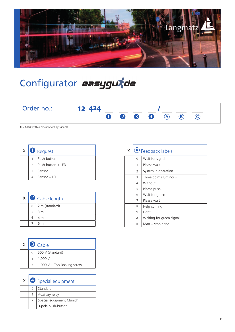

# Configurator easygutde

| Order no.: | 12 424 |           |  |     |     |  |
|------------|--------|-----------|--|-----|-----|--|
|            |        | $0$ 2 3 4 |  | (A) | (B) |  |

 $X =$  Mark with a cross where applicable

| X |               | Request           |
|---|---------------|-------------------|
|   |               | Push-button       |
|   | $\mathcal{P}$ | Push-button + LED |
|   | Β             | Sensor            |
|   |               | Sensor + LED      |

|  |          | $x \mid 2$ Cable length |
|--|----------|-------------------------|
|  | $\Omega$ | 2 m (standard)          |
|  | 5        | 3 <sub>m</sub>          |
|  |          | 4 m                     |
|  |          |                         |

|        | $X \big  \bullet$ Cable      |
|--------|------------------------------|
| $\cap$ | 500 V (standard)             |
|        | 1,000 V                      |
|        | 1,000 V + Torx locking screw |

|  | $\mathsf{X} \mid \mathbf{\Theta}$ Special equipment |
|--|-----------------------------------------------------|
|  | Standard                                            |
|  | Auxiliary relay                                     |
|  | Special equipment Munich                            |
|  | 3-pole push-button                                  |

| Χ |   | (A) Feedback labels      |
|---|---|--------------------------|
|   | 0 | Wait for signal          |
|   | 1 | Please wait              |
|   | 2 | System in operation      |
|   | 3 | Three points luminous    |
|   | 4 | Without                  |
|   | 5 | Please push              |
|   | 6 | Wait for green           |
|   | 7 | Please wait              |
|   | 8 | Help coming              |
|   | 9 | Light                    |
|   | А | Waiting for green signal |
|   | B | $Man + stop$ hand        |